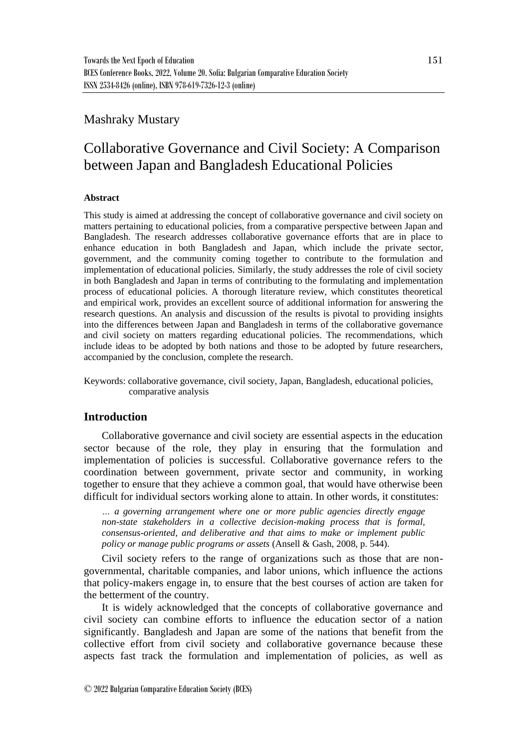# Mashraky Mustary

# Collaborative Governance and Civil Society: A Comparison between Japan and Bangladesh Educational Policies

# **Abstract**

This study is aimed at addressing the concept of collaborative governance and civil society on matters pertaining to educational policies, from a comparative perspective between Japan and Bangladesh. The research addresses collaborative governance efforts that are in place to enhance education in both Bangladesh and Japan, which include the private sector, government, and the community coming together to contribute to the formulation and implementation of educational policies. Similarly, the study addresses the role of civil society in both Bangladesh and Japan in terms of contributing to the formulating and implementation process of educational policies. A thorough literature review, which constitutes theoretical and empirical work, provides an excellent source of additional information for answering the research questions. An analysis and discussion of the results is pivotal to providing insights into the differences between Japan and Bangladesh in terms of the collaborative governance and civil society on matters regarding educational policies. The recommendations, which include ideas to be adopted by both nations and those to be adopted by future researchers, accompanied by the conclusion, complete the research.

Keywords: collaborative governance, civil society, Japan, Bangladesh, educational policies, comparative analysis

# **Introduction**

Collaborative governance and civil society are essential aspects in the education sector because of the role, they play in ensuring that the formulation and implementation of policies is successful. Collaborative governance refers to the coordination between government, private sector and community, in working together to ensure that they achieve a common goal, that would have otherwise been difficult for individual sectors working alone to attain. In other words, it constitutes:

*… a governing arrangement where one or more public agencies directly engage non-state stakeholders in a collective decision-making process that is formal, consensus-oriented, and deliberative and that aims to make or implement public policy or manage public programs or assets* (Ansell & Gash, 2008, p. 544).

Civil society refers to the range of organizations such as those that are nongovernmental, charitable companies, and labor unions, which influence the actions that policy-makers engage in, to ensure that the best courses of action are taken for the betterment of the country.

It is widely acknowledged that the concepts of collaborative governance and civil society can combine efforts to influence the education sector of a nation significantly. Bangladesh and Japan are some of the nations that benefit from the collective effort from civil society and collaborative governance because these aspects fast track the formulation and implementation of policies, as well as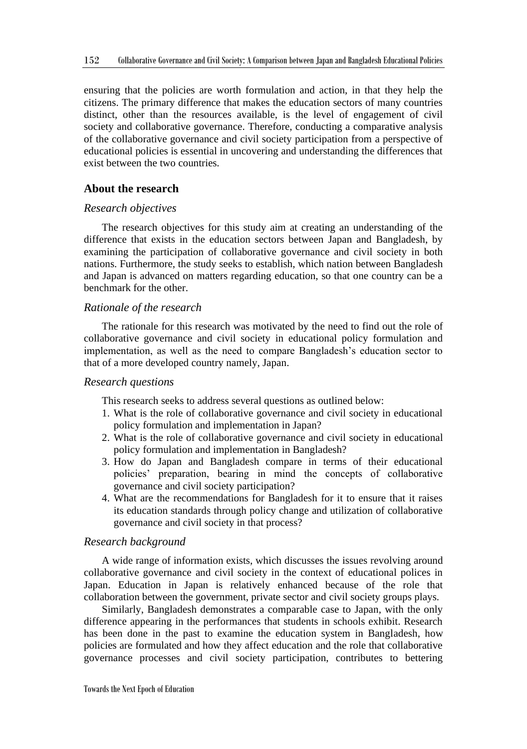ensuring that the policies are worth formulation and action, in that they help the citizens. The primary difference that makes the education sectors of many countries distinct, other than the resources available, is the level of engagement of civil society and collaborative governance. Therefore, conducting a comparative analysis of the collaborative governance and civil society participation from a perspective of educational policies is essential in uncovering and understanding the differences that exist between the two countries.

# **About the research**

#### *Research objectives*

The research objectives for this study aim at creating an understanding of the difference that exists in the education sectors between Japan and Bangladesh, by examining the participation of collaborative governance and civil society in both nations. Furthermore, the study seeks to establish, which nation between Bangladesh and Japan is advanced on matters regarding education, so that one country can be a benchmark for the other.

## *Rationale of the research*

The rationale for this research was motivated by the need to find out the role of collaborative governance and civil society in educational policy formulation and implementation, as well as the need to compare Bangladesh's education sector to that of a more developed country namely, Japan.

## *Research questions*

This research seeks to address several questions as outlined below:

- 1. What is the role of collaborative governance and civil society in educational policy formulation and implementation in Japan?
- 2. What is the role of collaborative governance and civil society in educational policy formulation and implementation in Bangladesh?
- 3. How do Japan and Bangladesh compare in terms of their educational policies' preparation, bearing in mind the concepts of collaborative governance and civil society participation?
- 4. What are the recommendations for Bangladesh for it to ensure that it raises its education standards through policy change and utilization of collaborative governance and civil society in that process?

## *Research background*

A wide range of information exists, which discusses the issues revolving around collaborative governance and civil society in the context of educational polices in Japan. Education in Japan is relatively enhanced because of the role that collaboration between the government, private sector and civil society groups plays.

Similarly, Bangladesh demonstrates a comparable case to Japan, with the only difference appearing in the performances that students in schools exhibit. Research has been done in the past to examine the education system in Bangladesh, how policies are formulated and how they affect education and the role that collaborative governance processes and civil society participation, contributes to bettering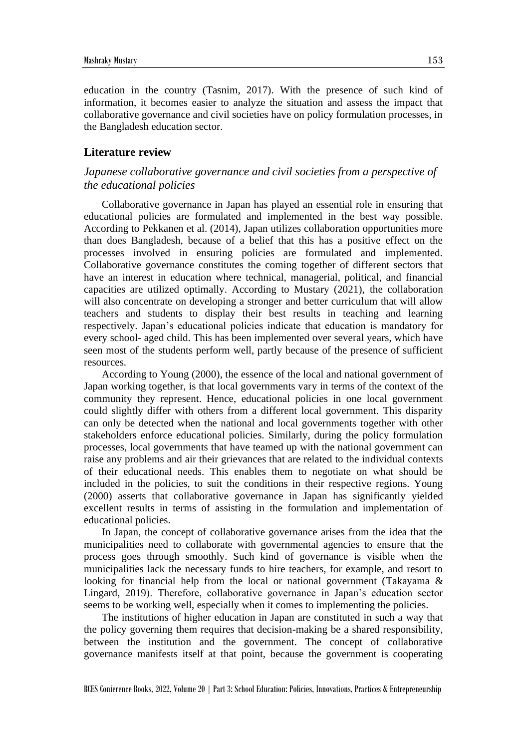education in the country (Tasnim, 2017). With the presence of such kind of information, it becomes easier to analyze the situation and assess the impact that collaborative governance and civil societies have on policy formulation processes, in the Bangladesh education sector.

# **Literature review**

# *Japanese collaborative governance and civil societies from a perspective of the educational policies*

Collaborative governance in Japan has played an essential role in ensuring that educational policies are formulated and implemented in the best way possible. According to Pekkanen et al. (2014), Japan utilizes collaboration opportunities more than does Bangladesh, because of a belief that this has a positive effect on the processes involved in ensuring policies are formulated and implemented. Collaborative governance constitutes the coming together of different sectors that have an interest in education where technical, managerial, political, and financial capacities are utilized optimally. According to Mustary (2021), the collaboration will also concentrate on developing a stronger and better curriculum that will allow teachers and students to display their best results in teaching and learning respectively. Japan's educational policies indicate that education is mandatory for every school- aged child. This has been implemented over several years, which have seen most of the students perform well, partly because of the presence of sufficient resources.

According to Young (2000), the essence of the local and national government of Japan working together, is that local governments vary in terms of the context of the community they represent. Hence, educational policies in one local government could slightly differ with others from a different local government. This disparity can only be detected when the national and local governments together with other stakeholders enforce educational policies. Similarly, during the policy formulation processes, local governments that have teamed up with the national government can raise any problems and air their grievances that are related to the individual contexts of their educational needs. This enables them to negotiate on what should be included in the policies, to suit the conditions in their respective regions. Young (2000) asserts that collaborative governance in Japan has significantly yielded excellent results in terms of assisting in the formulation and implementation of educational policies.

In Japan, the concept of collaborative governance arises from the idea that the municipalities need to collaborate with governmental agencies to ensure that the process goes through smoothly. Such kind of governance is visible when the municipalities lack the necessary funds to hire teachers, for example, and resort to looking for financial help from the local or national government (Takayama & Lingard, 2019). Therefore, collaborative governance in Japan's education sector seems to be working well, especially when it comes to implementing the policies.

The institutions of higher education in Japan are constituted in such a way that the policy governing them requires that decision-making be a shared responsibility, between the institution and the government. The concept of collaborative governance manifests itself at that point, because the government is cooperating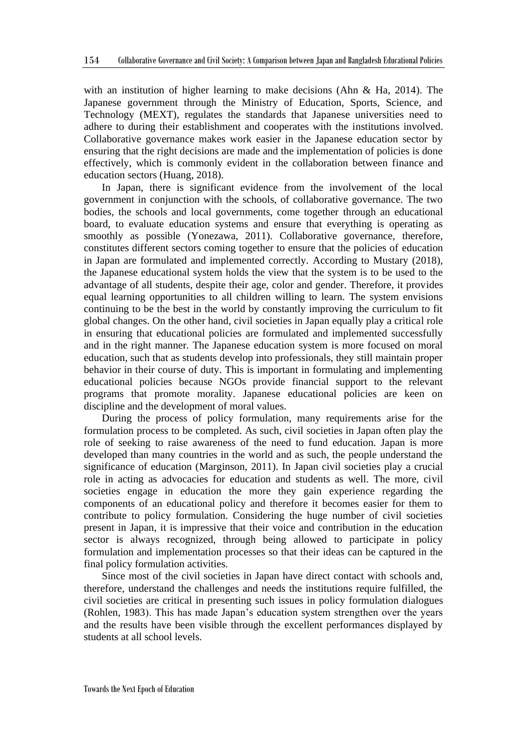with an institution of higher learning to make decisions (Ahn & Ha, 2014). The Japanese government through the Ministry of Education, Sports, Science, and Technology (MEXT), regulates the standards that Japanese universities need to adhere to during their establishment and cooperates with the institutions involved. Collaborative governance makes work easier in the Japanese education sector by ensuring that the right decisions are made and the implementation of policies is done effectively, which is commonly evident in the collaboration between finance and education sectors (Huang, 2018).

In Japan, there is significant evidence from the involvement of the local government in conjunction with the schools, of collaborative governance. The two bodies, the schools and local governments, come together through an educational board, to evaluate education systems and ensure that everything is operating as smoothly as possible (Yonezawa, 2011). Collaborative governance, therefore, constitutes different sectors coming together to ensure that the policies of education in Japan are formulated and implemented correctly. According to Mustary (2018), the Japanese educational system holds the view that the system is to be used to the advantage of all students, despite their age, color and gender. Therefore, it provides equal learning opportunities to all children willing to learn. The system envisions continuing to be the best in the world by constantly improving the curriculum to fit global changes. On the other hand, civil societies in Japan equally play a critical role in ensuring that educational policies are formulated and implemented successfully and in the right manner. The Japanese education system is more focused on moral education, such that as students develop into professionals, they still maintain proper behavior in their course of duty. This is important in formulating and implementing educational policies because NGOs provide financial support to the relevant programs that promote morality. Japanese educational policies are keen on discipline and the development of moral values.

During the process of policy formulation, many requirements arise for the formulation process to be completed. As such, civil societies in Japan often play the role of seeking to raise awareness of the need to fund education. Japan is more developed than many countries in the world and as such, the people understand the significance of education (Marginson, 2011). In Japan civil societies play a crucial role in acting as advocacies for education and students as well. The more, civil societies engage in education the more they gain experience regarding the components of an educational policy and therefore it becomes easier for them to contribute to policy formulation. Considering the huge number of civil societies present in Japan, it is impressive that their voice and contribution in the education sector is always recognized, through being allowed to participate in policy formulation and implementation processes so that their ideas can be captured in the final policy formulation activities.

Since most of the civil societies in Japan have direct contact with schools and, therefore, understand the challenges and needs the institutions require fulfilled, the civil societies are critical in presenting such issues in policy formulation dialogues (Rohlen, 1983). This has made Japan's education system strengthen over the years and the results have been visible through the excellent performances displayed by students at all school levels.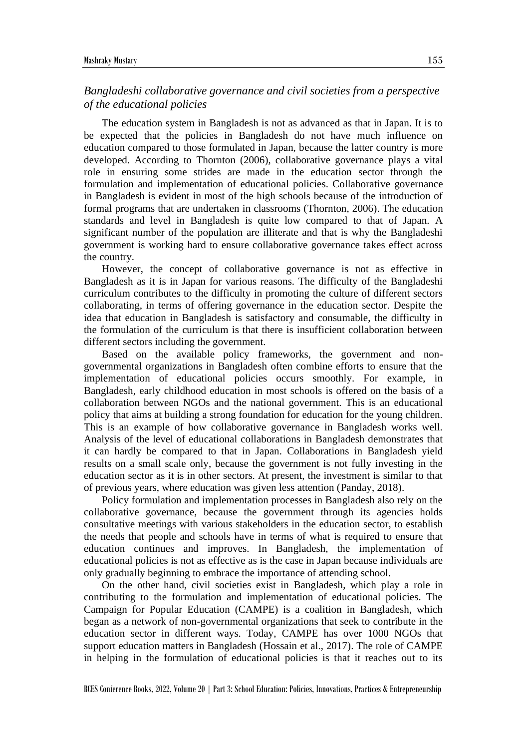# *Bangladeshi collaborative governance and civil societies from a perspective of the educational policies*

The education system in Bangladesh is not as advanced as that in Japan. It is to be expected that the policies in Bangladesh do not have much influence on education compared to those formulated in Japan, because the latter country is more developed. According to Thornton (2006), collaborative governance plays a vital role in ensuring some strides are made in the education sector through the formulation and implementation of educational policies. Collaborative governance in Bangladesh is evident in most of the high schools because of the introduction of formal programs that are undertaken in classrooms (Thornton, 2006). The education standards and level in Bangladesh is quite low compared to that of Japan. A significant number of the population are illiterate and that is why the Bangladeshi government is working hard to ensure collaborative governance takes effect across the country.

However, the concept of collaborative governance is not as effective in Bangladesh as it is in Japan for various reasons. The difficulty of the Bangladeshi curriculum contributes to the difficulty in promoting the culture of different sectors collaborating, in terms of offering governance in the education sector. Despite the idea that education in Bangladesh is satisfactory and consumable, the difficulty in the formulation of the curriculum is that there is insufficient collaboration between different sectors including the government.

Based on the available policy frameworks, the government and nongovernmental organizations in Bangladesh often combine efforts to ensure that the implementation of educational policies occurs smoothly. For example, in Bangladesh, early childhood education in most schools is offered on the basis of a collaboration between NGOs and the national government. This is an educational policy that aims at building a strong foundation for education for the young children. This is an example of how collaborative governance in Bangladesh works well. Analysis of the level of educational collaborations in Bangladesh demonstrates that it can hardly be compared to that in Japan. Collaborations in Bangladesh yield results on a small scale only, because the government is not fully investing in the education sector as it is in other sectors. At present, the investment is similar to that of previous years, where education was given less attention (Panday, 2018).

Policy formulation and implementation processes in Bangladesh also rely on the collaborative governance, because the government through its agencies holds consultative meetings with various stakeholders in the education sector, to establish the needs that people and schools have in terms of what is required to ensure that education continues and improves. In Bangladesh, the implementation of educational policies is not as effective as is the case in Japan because individuals are only gradually beginning to embrace the importance of attending school.

On the other hand, civil societies exist in Bangladesh, which play a role in contributing to the formulation and implementation of educational policies. The Campaign for Popular Education (CAMPE) is a coalition in Bangladesh, which began as a network of non-governmental organizations that seek to contribute in the education sector in different ways. Today, CAMPE has over 1000 NGOs that support education matters in Bangladesh (Hossain et al., 2017). The role of CAMPE in helping in the formulation of educational policies is that it reaches out to its

BCES Conference Books, 2022, Volume 20 | Part 3: School Education: Policies, Innovations, Practices & Entrepreneurship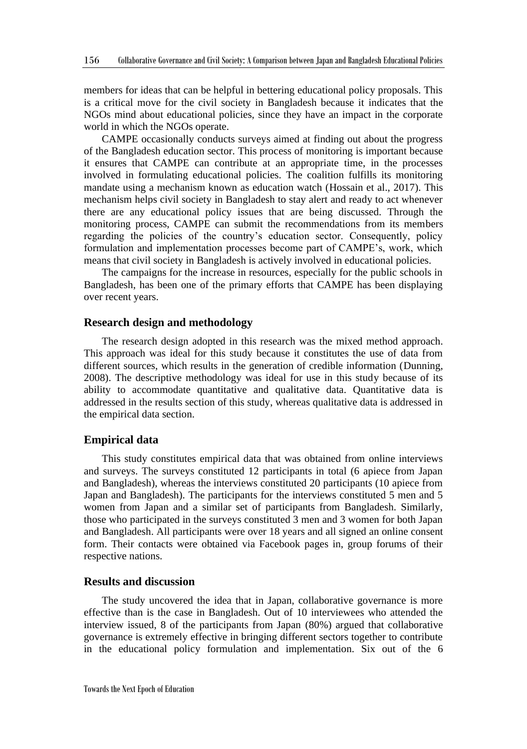members for ideas that can be helpful in bettering educational policy proposals. This is a critical move for the civil society in Bangladesh because it indicates that the NGOs mind about educational policies, since they have an impact in the corporate world in which the NGOs operate.

CAMPE occasionally conducts surveys aimed at finding out about the progress of the Bangladesh education sector. This process of monitoring is important because it ensures that CAMPE can contribute at an appropriate time, in the processes involved in formulating educational policies. The coalition fulfills its monitoring mandate using a mechanism known as education watch (Hossain et al., 2017). This mechanism helps civil society in Bangladesh to stay alert and ready to act whenever there are any educational policy issues that are being discussed. Through the monitoring process, CAMPE can submit the recommendations from its members regarding the policies of the country's education sector. Consequently, policy formulation and implementation processes become part of CAMPE's, work, which means that civil society in Bangladesh is actively involved in educational policies.

The campaigns for the increase in resources, especially for the public schools in Bangladesh, has been one of the primary efforts that CAMPE has been displaying over recent years.

#### **Research design and methodology**

The research design adopted in this research was the mixed method approach. This approach was ideal for this study because it constitutes the use of data from different sources, which results in the generation of credible information (Dunning, 2008). The descriptive methodology was ideal for use in this study because of its ability to accommodate quantitative and qualitative data. Quantitative data is addressed in the results section of this study, whereas qualitative data is addressed in the empirical data section.

## **Empirical data**

This study constitutes empirical data that was obtained from online interviews and surveys. The surveys constituted 12 participants in total (6 apiece from Japan and Bangladesh), whereas the interviews constituted 20 participants (10 apiece from Japan and Bangladesh). The participants for the interviews constituted 5 men and 5 women from Japan and a similar set of participants from Bangladesh. Similarly, those who participated in the surveys constituted 3 men and 3 women for both Japan and Bangladesh. All participants were over 18 years and all signed an online consent form. Their contacts were obtained via Facebook pages in, group forums of their respective nations.

### **Results and discussion**

The study uncovered the idea that in Japan, collaborative governance is more effective than is the case in Bangladesh. Out of 10 interviewees who attended the interview issued, 8 of the participants from Japan (80%) argued that collaborative governance is extremely effective in bringing different sectors together to contribute in the educational policy formulation and implementation. Six out of the 6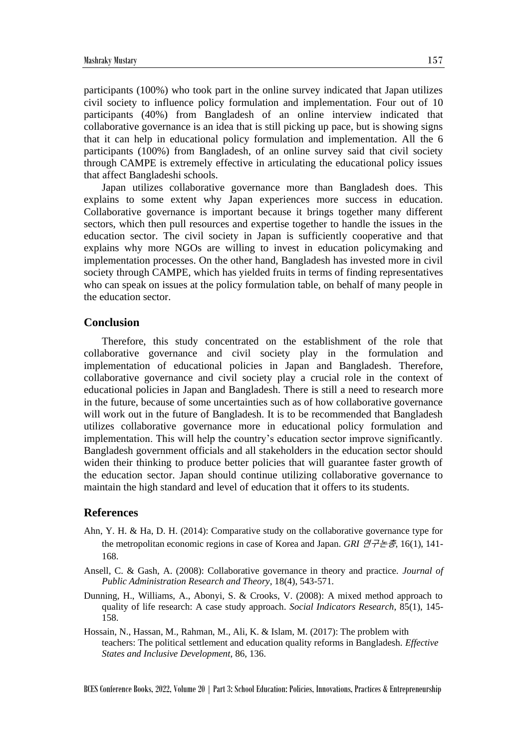participants (100%) who took part in the online survey indicated that Japan utilizes civil society to influence policy formulation and implementation. Four out of 10 participants (40%) from Bangladesh of an online interview indicated that collaborative governance is an idea that is still picking up pace, but is showing signs that it can help in educational policy formulation and implementation. All the 6 participants (100%) from Bangladesh, of an online survey said that civil society through CAMPE is extremely effective in articulating the educational policy issues that affect Bangladeshi schools.

Japan utilizes collaborative governance more than Bangladesh does. This explains to some extent why Japan experiences more success in education. Collaborative governance is important because it brings together many different sectors, which then pull resources and expertise together to handle the issues in the education sector. The civil society in Japan is sufficiently cooperative and that explains why more NGOs are willing to invest in education policymaking and implementation processes. On the other hand, Bangladesh has invested more in civil society through CAMPE, which has yielded fruits in terms of finding representatives who can speak on issues at the policy formulation table, on behalf of many people in the education sector.

### **Conclusion**

Therefore, this study concentrated on the establishment of the role that collaborative governance and civil society play in the formulation and implementation of educational policies in Japan and Bangladesh. Therefore, collaborative governance and civil society play a crucial role in the context of educational policies in Japan and Bangladesh. There is still a need to research more in the future, because of some uncertainties such as of how collaborative governance will work out in the future of Bangladesh. It is to be recommended that Bangladesh utilizes collaborative governance more in educational policy formulation and implementation. This will help the country's education sector improve significantly. Bangladesh government officials and all stakeholders in the education sector should widen their thinking to produce better policies that will guarantee faster growth of the education sector. Japan should continue utilizing collaborative governance to maintain the high standard and level of education that it offers to its students.

## **References**

- Ahn, Y. H. & Ha, D. H. (2014): Comparative study on the collaborative governance type for the metropolitan economic regions in case of Korea and Japan. *GRI* 연구논총, 16(1), 141- 168.
- Ansell, C. & Gash, A. (2008): Collaborative governance in theory and practice. *Journal of Public Administration Research and Theory*, 18(4), 543-571.
- Dunning, H., Williams, A., Abonyi, S. & Crooks, V. (2008): A mixed method approach to quality of life research: A case study approach. *Social Indicators Research*, 85(1), 145- 158.
- Hossain, N., Hassan, M., Rahman, M., Ali, K. & Islam, M. (2017): The problem with teachers: The political settlement and education quality reforms in Bangladesh. *Effective States and Inclusive Development*, 86, 136.

BCES Conference Books, 2022, Volume 20 | Part 3: School Education: Policies, Innovations, Practices & Entrepreneurship